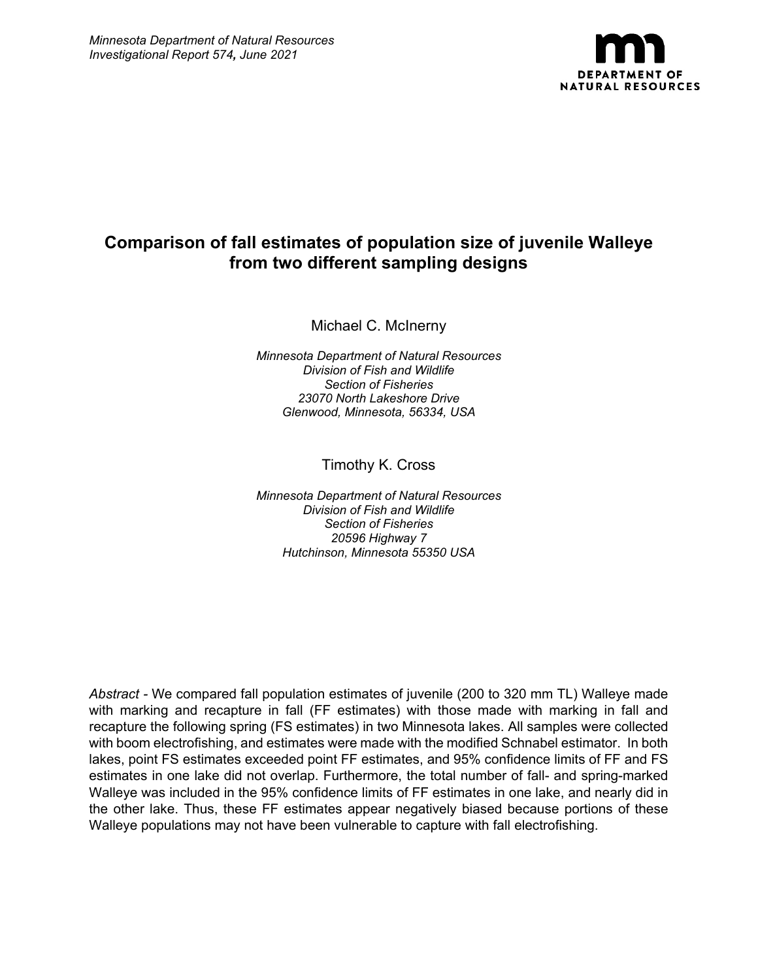

# **Comparison of fall estimates of population size of juvenile Walleye from two different sampling designs**

Michael C. McInerny

*Minnesota Department of Natural Resources Division of Fish and Wildlife Section of Fisheries 23070 North Lakeshore Drive Glenwood, Minnesota, 56334, USA*

Timothy K. Cross

*Minnesota Department of Natural Resources Division of Fish and Wildlife Section of Fisheries 20596 Highway 7 Hutchinson, Minnesota 55350 USA*

*Abstract -* We compared fall population estimates of juvenile (200 to 320 mm TL) Walleye made with marking and recapture in fall (FF estimates) with those made with marking in fall and recapture the following spring (FS estimates) in two Minnesota lakes. All samples were collected with boom electrofishing, and estimates were made with the modified Schnabel estimator. In both lakes, point FS estimates exceeded point FF estimates, and 95% confidence limits of FF and FS estimates in one lake did not overlap. Furthermore, the total number of fall- and spring-marked Walleye was included in the 95% confidence limits of FF estimates in one lake, and nearly did in the other lake. Thus, these FF estimates appear negatively biased because portions of these Walleye populations may not have been vulnerable to capture with fall electrofishing.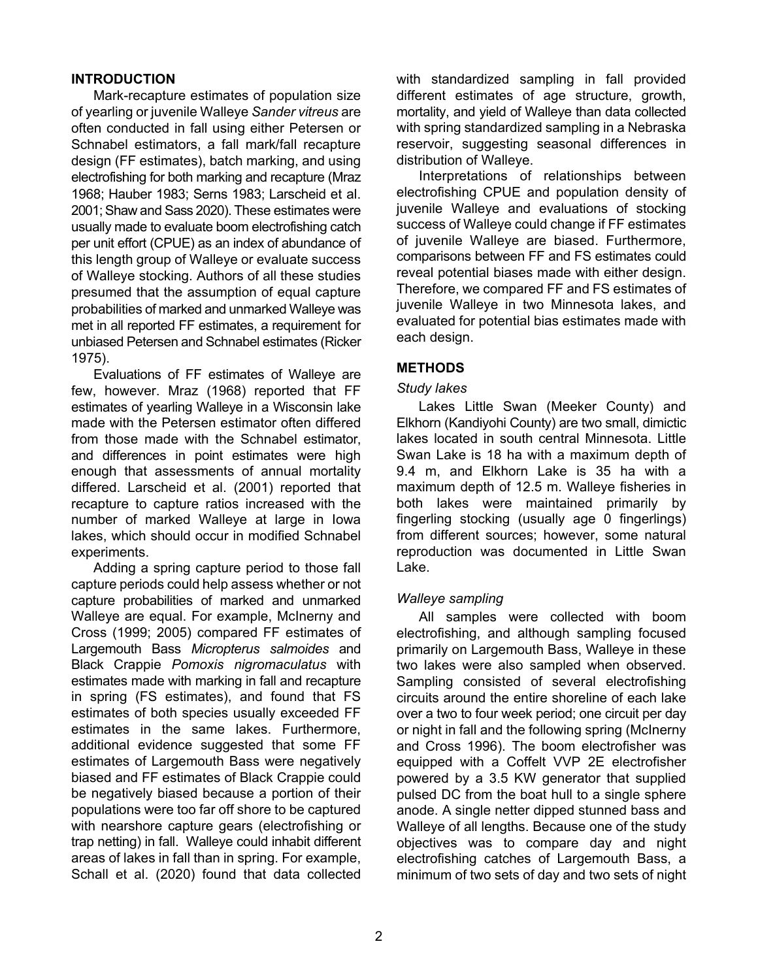#### **INTRODUCTION**

Mark-recapture estimates of population size of yearling or juvenile Walleye *Sander vitreus* are often conducted in fall using either Petersen or Schnabel estimators, a fall mark/fall recapture design (FF estimates), batch marking, and using electrofishing for both marking and recapture (Mraz 1968; Hauber 1983; Serns 1983; Larscheid et al. 2001; Shaw and Sass 2020). These estimates were usually made to evaluate boom electrofishing catch per unit effort (CPUE) as an index of abundance of this length group of Walleye or evaluate success of Walleye stocking. Authors of all these studies presumed that the assumption of equal capture probabilities of marked and unmarked Walleye was met in all reported FF estimates, a requirement for unbiased Petersen and Schnabel estimates (Ricker 1975).

Evaluations of FF estimates of Walleye are few, however. Mraz (1968) reported that FF estimates of yearling Walleye in a Wisconsin lake made with the Petersen estimator often differed from those made with the Schnabel estimator, and differences in point estimates were high enough that assessments of annual mortality differed. Larscheid et al. (2001) reported that recapture to capture ratios increased with the number of marked Walleye at large in Iowa lakes, which should occur in modified Schnabel experiments.

Adding a spring capture period to those fall capture periods could help assess whether or not capture probabilities of marked and unmarked Walleye are equal. For example, McInerny and Cross (1999; 2005) compared FF estimates of Largemouth Bass *Micropterus salmoides* and Black Crappie *Pomoxis nigromaculatus* with estimates made with marking in fall and recapture in spring (FS estimates), and found that FS estimates of both species usually exceeded FF estimates in the same lakes. Furthermore, additional evidence suggested that some FF estimates of Largemouth Bass were negatively biased and FF estimates of Black Crappie could be negatively biased because a portion of their populations were too far off shore to be captured with nearshore capture gears (electrofishing or trap netting) in fall. Walleye could inhabit different areas of lakes in fall than in spring. For example, Schall et al. (2020) found that data collected with standardized sampling in fall provided different estimates of age structure, growth, mortality, and yield of Walleye than data collected with spring standardized sampling in a Nebraska reservoir, suggesting seasonal differences in distribution of Walleye.

Interpretations of relationships between electrofishing CPUE and population density of juvenile Walleye and evaluations of stocking success of Walleye could change if FF estimates of juvenile Walleye are biased. Furthermore, comparisons between FF and FS estimates could reveal potential biases made with either design. Therefore, we compared FF and FS estimates of juvenile Walleye in two Minnesota lakes, and evaluated for potential bias estimates made with each design.

# **METHODS**

#### *Study lakes*

Lakes Little Swan (Meeker County) and Elkhorn (Kandiyohi County) are two small, dimictic lakes located in south central Minnesota. Little Swan Lake is 18 ha with a maximum depth of 9.4 m, and Elkhorn Lake is 35 ha with a maximum depth of 12.5 m. Walleye fisheries in both lakes were maintained primarily by fingerling stocking (usually age 0 fingerlings) from different sources; however, some natural reproduction was documented in Little Swan Lake.

## *Walleye sampling*

All samples were collected with boom electrofishing, and although sampling focused primarily on Largemouth Bass, Walleye in these two lakes were also sampled when observed. Sampling consisted of several electrofishing circuits around the entire shoreline of each lake over a two to four week period; one circuit per day or night in fall and the following spring (McInerny and Cross 1996). The boom electrofisher was equipped with a Coffelt VVP 2E electrofisher powered by a 3.5 KW generator that supplied pulsed DC from the boat hull to a single sphere anode. A single netter dipped stunned bass and Walleye of all lengths. Because one of the study objectives was to compare day and night electrofishing catches of Largemouth Bass, a minimum of two sets of day and two sets of night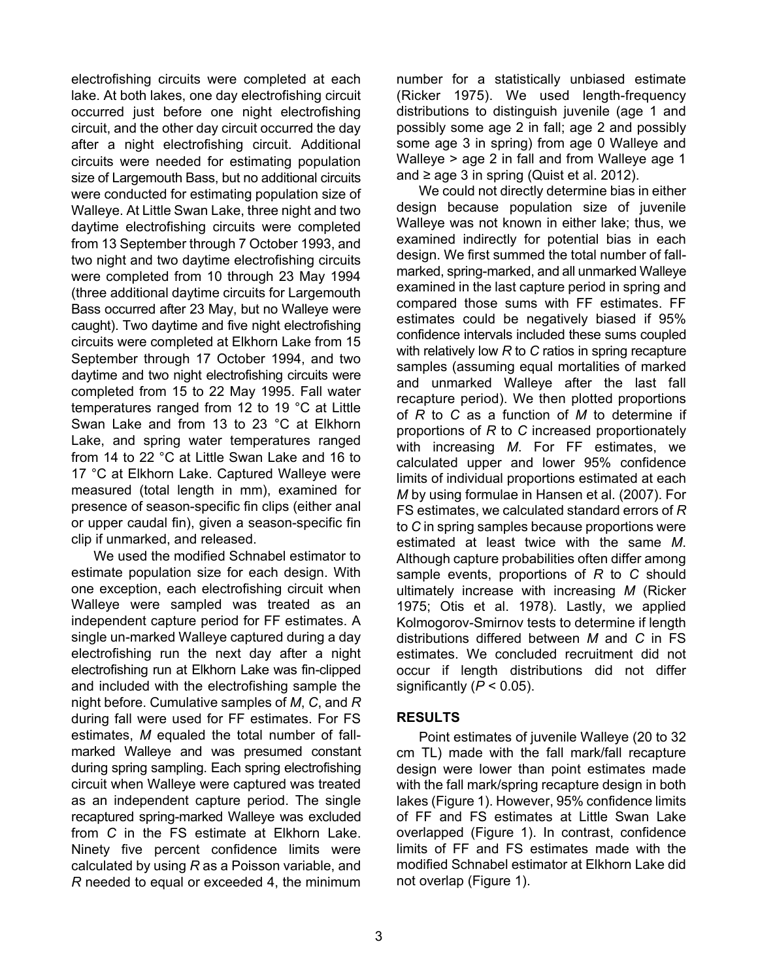electrofishing circuits were completed at each lake. At both lakes, one day electrofishing circuit occurred just before one night electrofishing circuit, and the other day circuit occurred the day after a night electrofishing circuit. Additional circuits were needed for estimating population size of Largemouth Bass, but no additional circuits were conducted for estimating population size of Walleye. At Little Swan Lake, three night and two daytime electrofishing circuits were completed from 13 September through 7 October 1993, and two night and two daytime electrofishing circuits were completed from 10 through 23 May 1994 (three additional daytime circuits for Largemouth Bass occurred after 23 May, but no Walleye were caught). Two daytime and five night electrofishing circuits were completed at Elkhorn Lake from 15 September through 17 October 1994, and two daytime and two night electrofishing circuits were completed from 15 to 22 May 1995. Fall water temperatures ranged from 12 to 19 °C at Little Swan Lake and from 13 to 23 °C at Elkhorn Lake, and spring water temperatures ranged from 14 to 22 °C at Little Swan Lake and 16 to 17 °C at Elkhorn Lake. Captured Walleye were measured (total length in mm), examined for presence of season-specific fin clips (either anal or upper caudal fin), given a season-specific fin clip if unmarked, and released.

We used the modified Schnabel estimator to estimate population size for each design. With one exception, each electrofishing circuit when Walleye were sampled was treated as an independent capture period for FF estimates. A single un-marked Walleye captured during a day electrofishing run the next day after a night electrofishing run at Elkhorn Lake was fin-clipped and included with the electrofishing sample the night before. Cumulative samples of *M*, *C*, and *R* during fall were used for FF estimates. For FS estimates, *M* equaled the total number of fallmarked Walleye and was presumed constant during spring sampling. Each spring electrofishing circuit when Walleye were captured was treated as an independent capture period. The single recaptured spring-marked Walleye was excluded from *C* in the FS estimate at Elkhorn Lake. Ninety five percent confidence limits were calculated by using *R* as a Poisson variable, and *R* needed to equal or exceeded 4, the minimum

number for a statistically unbiased estimate (Ricker 1975). We used length-frequency distributions to distinguish juvenile (age 1 and possibly some age 2 in fall; age 2 and possibly some age 3 in spring) from age 0 Walleye and Walleye > age 2 in fall and from Walleye age 1 and  $\geq$  age 3 in spring (Quist et al. 2012).

We could not directly determine bias in either design because population size of juvenile Walleye was not known in either lake; thus, we examined indirectly for potential bias in each design. We first summed the total number of fallmarked, spring-marked, and all unmarked Walleye examined in the last capture period in spring and compared those sums with FF estimates. FF estimates could be negatively biased if 95% confidence intervals included these sums coupled with relatively low *R* to *C* ratios in spring recapture samples (assuming equal mortalities of marked and unmarked Walleye after the last fall recapture period). We then plotted proportions of *R* to *C* as a function of *M* to determine if proportions of *R* to *C* increased proportionately with increasing *M*. For FF estimates, we calculated upper and lower 95% confidence limits of individual proportions estimated at each *M* by using formulae in Hansen et al. (2007). For FS estimates, we calculated standard errors of *R* to *C* in spring samples because proportions were estimated at least twice with the same *M*. Although capture probabilities often differ among sample events, proportions of *R* to *C* should ultimately increase with increasing *M* (Ricker 1975; Otis et al. 1978). Lastly, we applied Kolmogorov-Smirnov tests to determine if length distributions differed between *M* and *C* in FS estimates. We concluded recruitment did not occur if length distributions did not differ significantly  $(P < 0.05)$ .

## **RESULTS**

Point estimates of juvenile Walleye (20 to 32 cm TL) made with the fall mark/fall recapture design were lower than point estimates made with the fall mark/spring recapture design in both lakes (Figure 1). However, 95% confidence limits of FF and FS estimates at Little Swan Lake overlapped (Figure 1). In contrast, confidence limits of FF and FS estimates made with the modified Schnabel estimator at Elkhorn Lake did not overlap (Figure 1).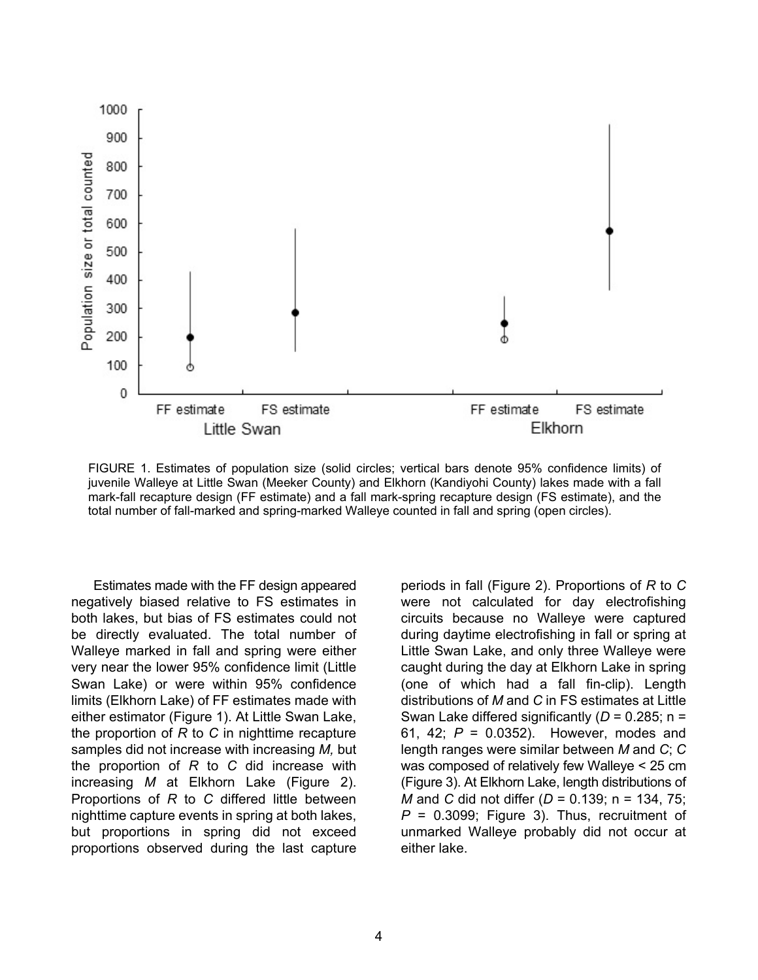

FIGURE 1. Estimates of population size (solid circles; vertical bars denote 95% confidence limits) of juvenile Walleye at Little Swan (Meeker County) and Elkhorn (Kandiyohi County) lakes made with a fall mark-fall recapture design (FF estimate) and a fall mark-spring recapture design (FS estimate), and the total number of fall-marked and spring-marked Walleye counted in fall and spring (open circles).

Estimates made with the FF design appeared negatively biased relative to FS estimates in both lakes, but bias of FS estimates could not be directly evaluated. The total number of Walleye marked in fall and spring were either very near the lower 95% confidence limit (Little Swan Lake) or were within 95% confidence limits (Elkhorn Lake) of FF estimates made with either estimator (Figure 1). At Little Swan Lake, the proportion of *R* to *C* in nighttime recapture samples did not increase with increasing *M,* but the proportion of *R* to *C* did increase with increasing *M* at Elkhorn Lake (Figure 2). Proportions of *R* to *C* differed little between nighttime capture events in spring at both lakes, but proportions in spring did not exceed proportions observed during the last capture

periods in fall (Figure 2). Proportions of *R* to *C* were not calculated for day electrofishing circuits because no Walleye were captured during daytime electrofishing in fall or spring at Little Swan Lake, and only three Walleye were caught during the day at Elkhorn Lake in spring (one of which had a fall fin-clip). Length distributions of *M* and *C* in FS estimates at Little Swan Lake differed significantly  $(D = 0.285; n = 1)$ 61, 42; *P* = 0.0352). However, modes and length ranges were similar between *M* and *C*; *C* was composed of relatively few Walleye < 25 cm (Figure 3). At Elkhorn Lake, length distributions of *M* and *C* did not differ (*D* = 0.139; n = 134, 75;  $P = 0.3099$ ; Figure 3). Thus, recruitment of unmarked Walleye probably did not occur at either lake.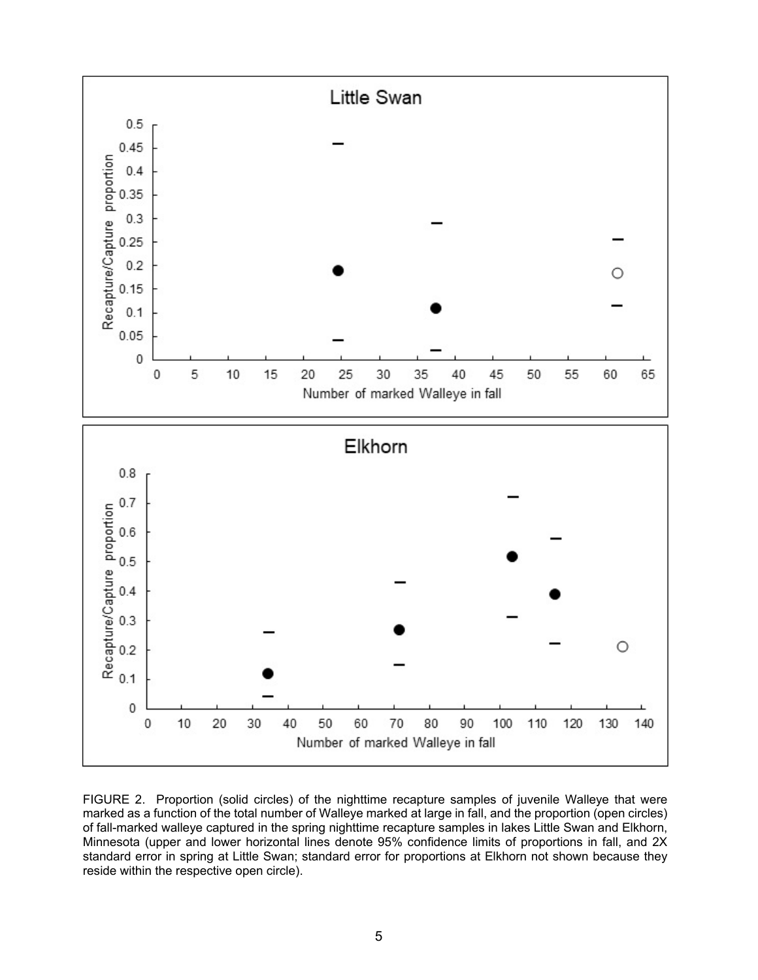

FIGURE 2. Proportion (solid circles) of the nighttime recapture samples of juvenile Walleye that were marked as a function of the total number of Walleye marked at large in fall, and the proportion (open circles) of fall-marked walleye captured in the spring nighttime recapture samples in lakes Little Swan and Elkhorn, Minnesota (upper and lower horizontal lines denote 95% confidence limits of proportions in fall, and 2X standard error in spring at Little Swan; standard error for proportions at Elkhorn not shown because they reside within the respective open circle).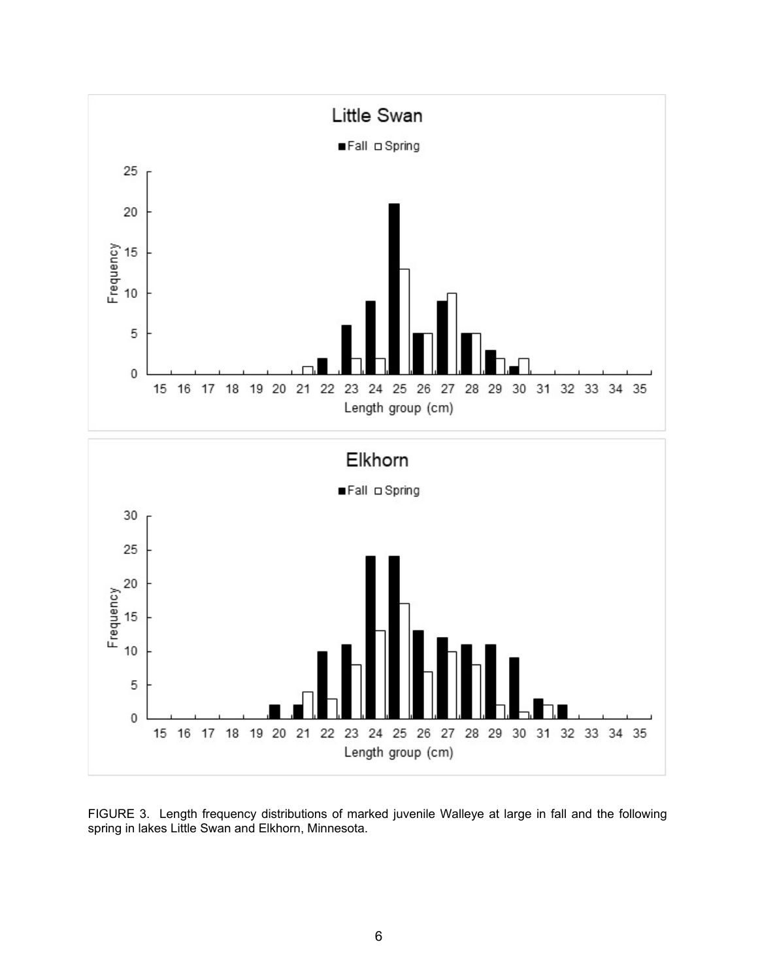

FIGURE 3. Length frequency distributions of marked juvenile Walleye at large in fall and the following spring in lakes Little Swan and Elkhorn, Minnesota.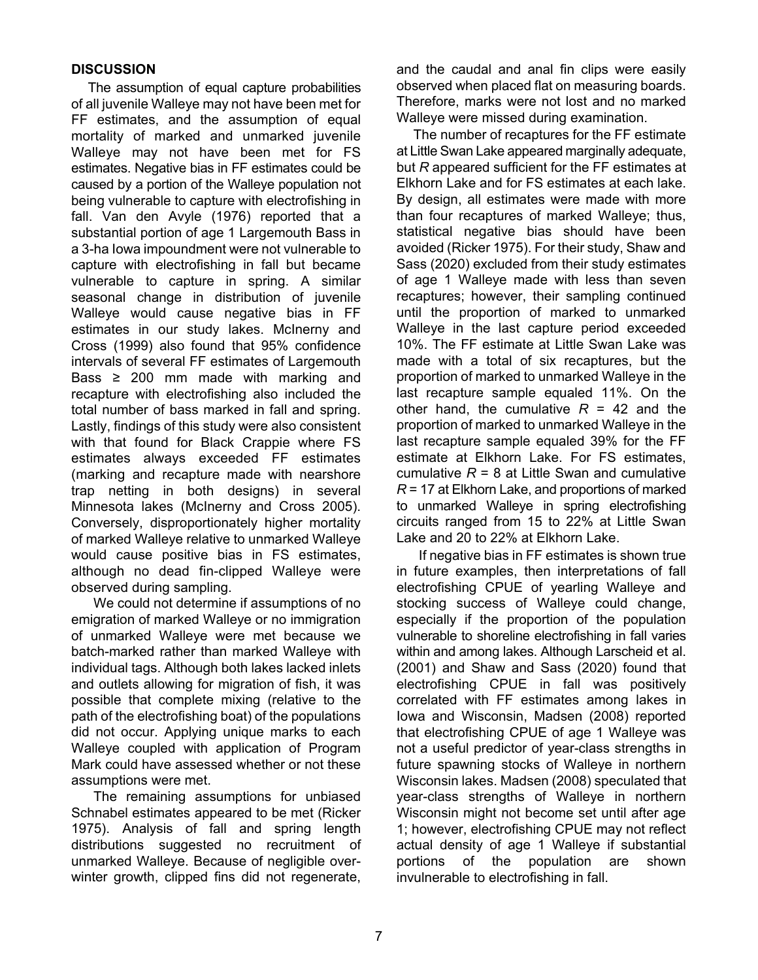## **DISCUSSION**

The assumption of equal capture probabilities of all juvenile Walleye may not have been met for FF estimates, and the assumption of equal mortality of marked and unmarked juvenile Walleye may not have been met for FS estimates. Negative bias in FF estimates could be caused by a portion of the Walleye population not being vulnerable to capture with electrofishing in fall. Van den Avyle (1976) reported that a substantial portion of age 1 Largemouth Bass in a 3-ha Iowa impoundment were not vulnerable to capture with electrofishing in fall but became vulnerable to capture in spring. A similar seasonal change in distribution of juvenile Walleye would cause negative bias in FF estimates in our study lakes. McInerny and Cross (1999) also found that 95% confidence intervals of several FF estimates of Largemouth Bass  $\geq$  200 mm made with marking and recapture with electrofishing also included the total number of bass marked in fall and spring. Lastly, findings of this study were also consistent with that found for Black Crappie where FS estimates always exceeded FF estimates (marking and recapture made with nearshore trap netting in both designs) in several Minnesota lakes (McInerny and Cross 2005). Conversely, disproportionately higher mortality of marked Walleye relative to unmarked Walleye would cause positive bias in FS estimates, although no dead fin-clipped Walleye were observed during sampling.

We could not determine if assumptions of no emigration of marked Walleye or no immigration of unmarked Walleye were met because we batch-marked rather than marked Walleye with individual tags. Although both lakes lacked inlets and outlets allowing for migration of fish, it was possible that complete mixing (relative to the path of the electrofishing boat) of the populations did not occur. Applying unique marks to each Walleye coupled with application of Program Mark could have assessed whether or not these assumptions were met.

The remaining assumptions for unbiased Schnabel estimates appeared to be met (Ricker 1975). Analysis of fall and spring length distributions suggested no recruitment of unmarked Walleye. Because of negligible overwinter growth, clipped fins did not regenerate,

and the caudal and anal fin clips were easily observed when placed flat on measuring boards. Therefore, marks were not lost and no marked Walleye were missed during examination.

The number of recaptures for the FF estimate at Little Swan Lake appeared marginally adequate, but *R* appeared sufficient for the FF estimates at Elkhorn Lake and for FS estimates at each lake. By design, all estimates were made with more than four recaptures of marked Walleye; thus, statistical negative bias should have been avoided (Ricker 1975). For their study, Shaw and Sass (2020) excluded from their study estimates of age 1 Walleye made with less than seven recaptures; however, their sampling continued until the proportion of marked to unmarked Walleye in the last capture period exceeded 10%. The FF estimate at Little Swan Lake was made with a total of six recaptures, but the proportion of marked to unmarked Walleye in the last recapture sample equaled 11%. On the other hand, the cumulative  $R = 42$  and the proportion of marked to unmarked Walleye in the last recapture sample equaled 39% for the FF estimate at Elkhorn Lake. For FS estimates, cumulative  $R = 8$  at Little Swan and cumulative *R* = 17 at Elkhorn Lake, and proportions of marked to unmarked Walleye in spring electrofishing circuits ranged from 15 to 22% at Little Swan Lake and 20 to 22% at Elkhorn Lake.

If negative bias in FF estimates is shown true in future examples, then interpretations of fall electrofishing CPUE of yearling Walleye and stocking success of Walleye could change, especially if the proportion of the population vulnerable to shoreline electrofishing in fall varies within and among lakes. Although Larscheid et al. (2001) and Shaw and Sass (2020) found that electrofishing CPUE in fall was positively correlated with FF estimates among lakes in Iowa and Wisconsin, Madsen (2008) reported that electrofishing CPUE of age 1 Walleye was not a useful predictor of year-class strengths in future spawning stocks of Walleye in northern Wisconsin lakes. Madsen (2008) speculated that year-class strengths of Walleye in northern Wisconsin might not become set until after age 1; however, electrofishing CPUE may not reflect actual density of age 1 Walleye if substantial portions of the population are shown invulnerable to electrofishing in fall.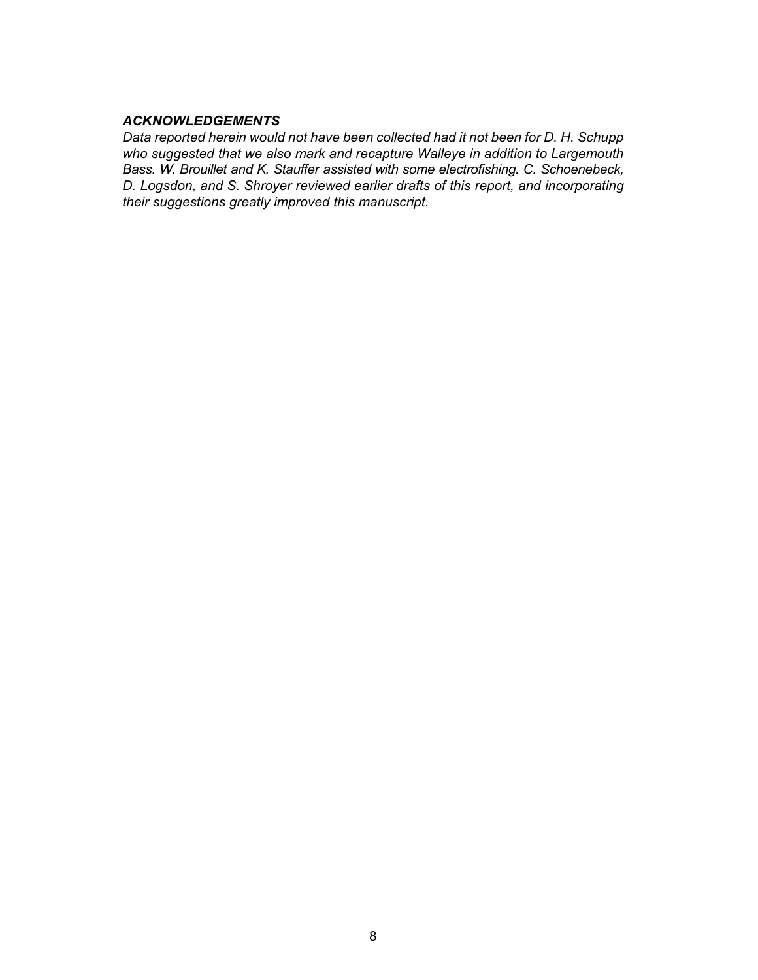#### *ACKNOWLEDGEMENTS*

*Data reported herein would not have been collected had it not been for D. H. Schupp who suggested that we also mark and recapture Walleye in addition to Largemouth Bass. W. Brouillet and K. Stauffer assisted with some electrofishing. C. Schoenebeck, D. Logsdon, and S. Shroyer reviewed earlier drafts of this report, and incorporating their suggestions greatly improved this manuscript.*